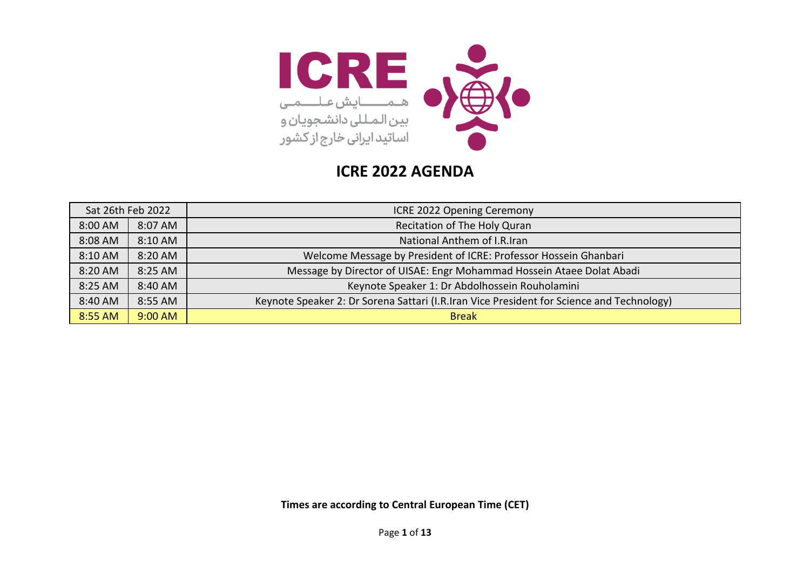

| Sat 26th Feb 2022 |         | ICRE 2022 Opening Ceremony                                                                |  |
|-------------------|---------|-------------------------------------------------------------------------------------------|--|
| 8:00 AM           | 8:07 AM | Recitation of The Holy Quran                                                              |  |
| 8:08 AM           | 8:10 AM | National Anthem of I.R.Iran                                                               |  |
| 8:10 AM           | 8:20 AM | Welcome Message by President of ICRE: Professor Hossein Ghanbari                          |  |
| 8:20 AM           | 8:25 AM | Message by Director of UISAE: Engr Mohammad Hossein Ataee Dolat Abadi                     |  |
| 8:25 AM           | 8:40 AM | Keynote Speaker 1: Dr Abdolhossein Rouholamini                                            |  |
| 8:40 AM           | 8:55 AM | Keynote Speaker 2: Dr Sorena Sattari (I.R.Iran Vice President for Science and Technology) |  |
| 8:55 AM           | 9:00 AM | <b>Break</b>                                                                              |  |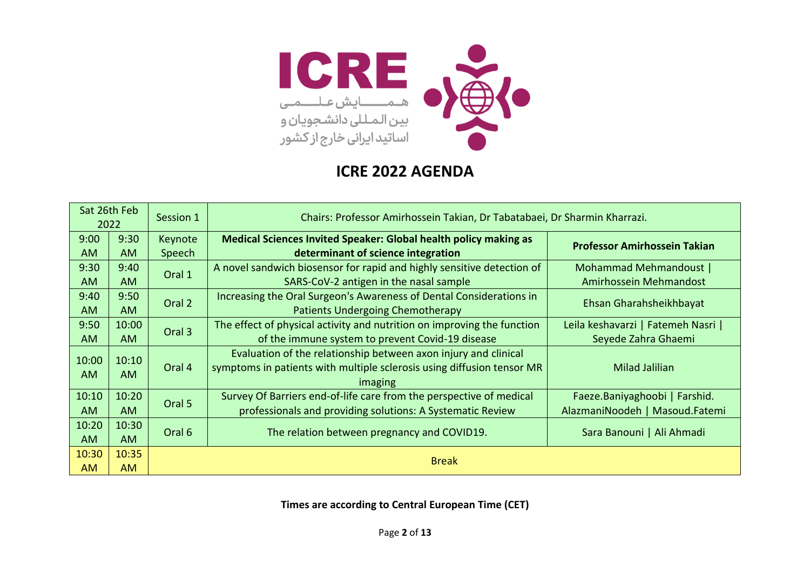

|           | Sat 26th Feb<br>2022 | Chairs: Professor Amirhossein Takian, Dr Tabatabaei, Dr Sharmin Kharrazi.<br>Session 1 |                                                                         |                                     |
|-----------|----------------------|----------------------------------------------------------------------------------------|-------------------------------------------------------------------------|-------------------------------------|
| 9:00      | 9:30                 | Keynote                                                                                | Medical Sciences Invited Speaker: Global health policy making as        | <b>Professor Amirhossein Takian</b> |
| <b>AM</b> | <b>AM</b>            | Speech                                                                                 | determinant of science integration                                      |                                     |
| 9:30      | 9:40                 | Oral 1                                                                                 | A novel sandwich biosensor for rapid and highly sensitive detection of  | Mohammad Mehmandoust                |
| <b>AM</b> | <b>AM</b>            |                                                                                        | SARS-CoV-2 antigen in the nasal sample                                  | Amirhossein Mehmandost              |
| 9:40      | 9:50                 | Oral 2                                                                                 | Increasing the Oral Surgeon's Awareness of Dental Considerations in     |                                     |
| <b>AM</b> | <b>AM</b>            |                                                                                        | Patients Undergoing Chemotherapy                                        | Ehsan Gharahsheikhbayat             |
| 9:50      | 10:00                |                                                                                        | The effect of physical activity and nutrition on improving the function | Leila keshavarzi   Fatemeh Nasri    |
| <b>AM</b> | AM.                  | Oral 3                                                                                 | of the immune system to prevent Covid-19 disease                        | Seyede Zahra Ghaemi                 |
| 10:00     | 10:10                |                                                                                        | Evaluation of the relationship between axon injury and clinical         |                                     |
| <b>AM</b> | AM.                  | Oral 4                                                                                 | symptoms in patients with multiple sclerosis using diffusion tensor MR  | Milad Jalilian                      |
|           |                      |                                                                                        | imaging                                                                 |                                     |
| 10:10     | 10:20                | Oral 5                                                                                 | Survey Of Barriers end-of-life care from the perspective of medical     | Faeze.Baniyaghoobi   Farshid.       |
| AM        | AM.                  |                                                                                        | professionals and providing solutions: A Systematic Review              | AlazmaniNoodeh   Masoud.Fatemi      |
| 10:20     | 10:30                |                                                                                        |                                                                         |                                     |
| <b>AM</b> | AM.                  | Oral 6                                                                                 | The relation between pregnancy and COVID19.                             | Sara Banouni   Ali Ahmadi           |
| 10:30     | 10:35                |                                                                                        |                                                                         |                                     |
| <b>AM</b> | <b>AM</b>            |                                                                                        | <b>Break</b>                                                            |                                     |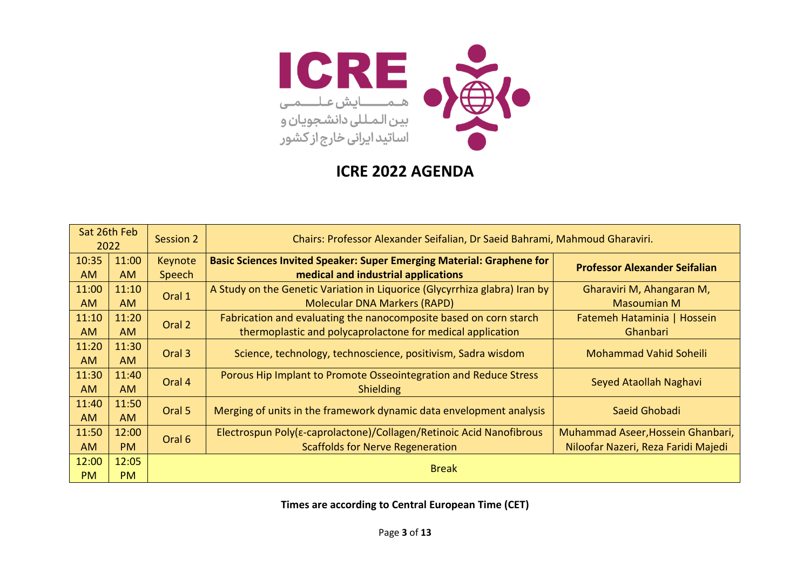

|           | Sat 26th Feb<br>2022 | Session 2 | Chairs: Professor Alexander Seifalian, Dr Saeid Bahrami, Mahmoud Gharaviri.  |                                      |
|-----------|----------------------|-----------|------------------------------------------------------------------------------|--------------------------------------|
| 10:35     | 11:00                | Keynote   | <b>Basic Sciences Invited Speaker: Super Emerging Material: Graphene for</b> | <b>Professor Alexander Seifalian</b> |
| <b>AM</b> | <b>AM</b>            | Speech    | medical and industrial applications                                          |                                      |
| 11:00     | 11:10                | Oral 1    | A Study on the Genetic Variation in Liquorice (Glycyrrhiza glabra) Iran by   | Gharaviri M, Ahangaran M,            |
| <b>AM</b> | <b>AM</b>            |           | <b>Molecular DNA Markers (RAPD)</b>                                          | <b>Masoumian M</b>                   |
| 11:10     | 11:20                | Oral 2    | Fabrication and evaluating the nanocomposite based on corn starch            | Fatemeh Hataminia   Hossein          |
| <b>AM</b> | AM.                  |           | thermoplastic and polycaprolactone for medical application                   | Ghanbari                             |
| 11:20     | 11:30                |           |                                                                              |                                      |
| <b>AM</b> | <b>AM</b>            | Oral 3    | Science, technology, technoscience, positivism, Sadra wisdom                 | <b>Mohammad Vahid Soheili</b>        |
| 11:30     | 11:40                | Oral 4    | Porous Hip Implant to Promote Osseointegration and Reduce Stress             |                                      |
| <b>AM</b> | AM.                  |           | <b>Shielding</b>                                                             | Seyed Ataollah Naghavi               |
| 11:40     | 11:50                | Oral 5    | Merging of units in the framework dynamic data envelopment analysis          | Saeid Ghobadi                        |
| <b>AM</b> | AM.                  |           |                                                                              |                                      |
| 11:50     | 12:00                | Oral 6    | Electrospun Poly(ε-caprolactone)/Collagen/Retinoic Acid Nanofibrous          | Muhammad Aseer, Hossein Ghanbari,    |
| <b>AM</b> | PM                   |           | <b>Scaffolds for Nerve Regeneration</b>                                      | Niloofar Nazeri, Reza Faridi Majedi  |
| 12:00     | 12:05                |           |                                                                              |                                      |
| <b>PM</b> | <b>PM</b>            |           | <b>Break</b>                                                                 |                                      |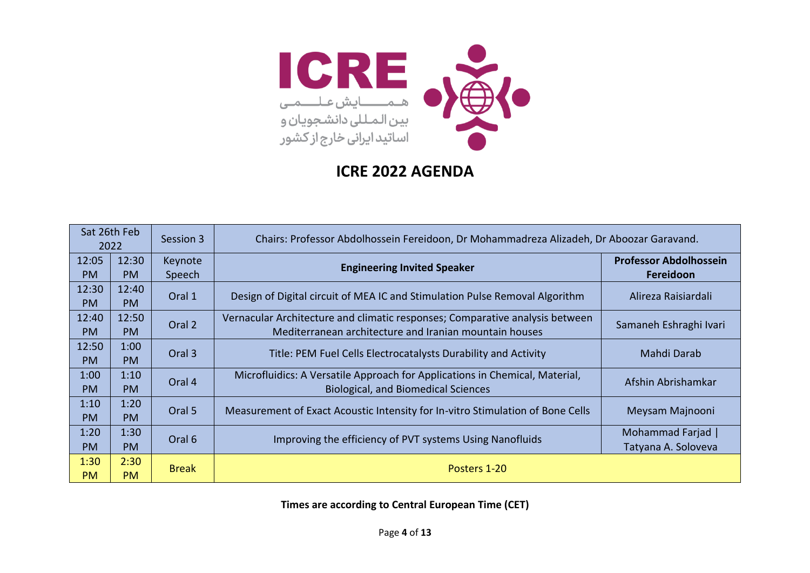

| Sat 26th Feb<br>2022 |           | Session 3    | Chairs: Professor Abdolhossein Fereidoon, Dr Mohammadreza Alizadeh, Dr Aboozar Garavand. |                               |
|----------------------|-----------|--------------|------------------------------------------------------------------------------------------|-------------------------------|
| 12:05                | 12:30     | Keynote      | <b>Engineering Invited Speaker</b>                                                       | <b>Professor Abdolhossein</b> |
| PM                   | <b>PM</b> | Speech       |                                                                                          | Fereidoon                     |
| 12:30                | 12:40     | Oral 1       |                                                                                          |                               |
| <b>PM</b>            | <b>PM</b> |              | Design of Digital circuit of MEA IC and Stimulation Pulse Removal Algorithm              | Alireza Raisiardali           |
| 12:40                | 12:50     | Oral 2       | Vernacular Architecture and climatic responses; Comparative analysis between             |                               |
| PM.                  | <b>PM</b> |              | Mediterranean architecture and Iranian mountain houses                                   | Samaneh Eshraghi Ivari        |
| 12:50                | 1:00      | Oral 3       |                                                                                          |                               |
| PM.                  | <b>PM</b> |              | Title: PEM Fuel Cells Electrocatalysts Durability and Activity                           | Mahdi Darab                   |
| 1:00                 | 1:10      | Oral 4       | Microfluidics: A Versatile Approach for Applications in Chemical, Material,              | Afshin Abrishamkar            |
| <b>PM</b>            | <b>PM</b> |              | <b>Biological, and Biomedical Sciences</b>                                               |                               |
| 1:10                 | 1:20      | Oral 5       | Measurement of Exact Acoustic Intensity for In-vitro Stimulation of Bone Cells           |                               |
| <b>PM</b>            | <b>PM</b> |              |                                                                                          | Meysam Majnooni               |
| 1:20                 | 1:30      | Oral 6       |                                                                                          | Mohammad Farjad               |
| <b>PM</b>            | <b>PM</b> |              | Improving the efficiency of PVT systems Using Nanofluids                                 | Tatyana A. Soloveva           |
| 1:30                 | 2:30      | <b>Break</b> |                                                                                          |                               |
| <b>PM</b>            | <b>PM</b> |              | Posters 1-20                                                                             |                               |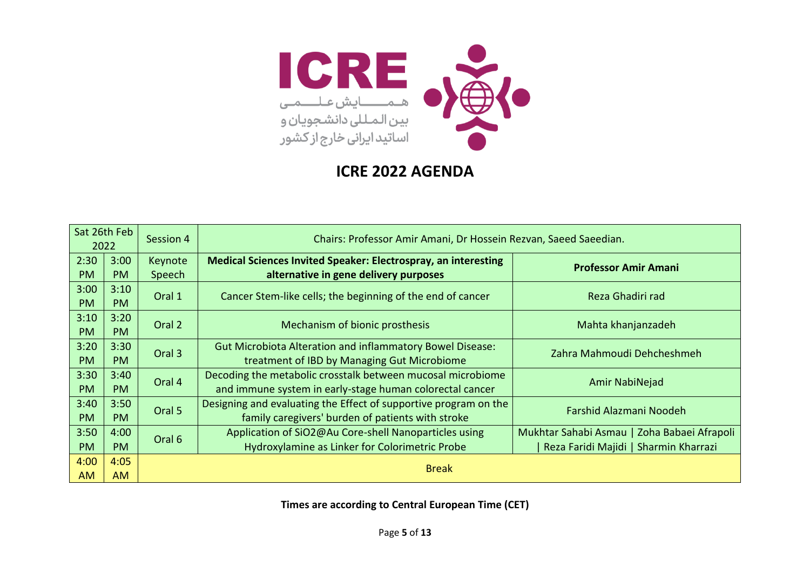

|           | Sat 26th Feb<br>2022 | Session 4 | Chairs: Professor Amir Amani, Dr Hossein Rezvan, Saeed Saeedian.      |                                             |  |  |
|-----------|----------------------|-----------|-----------------------------------------------------------------------|---------------------------------------------|--|--|
| 2:30      | 3:00                 | Keynote   | <b>Medical Sciences Invited Speaker: Electrospray, an interesting</b> | <b>Professor Amir Amani</b>                 |  |  |
| <b>PM</b> | <b>PM</b>            | Speech    | alternative in gene delivery purposes                                 |                                             |  |  |
| 3:00      | 3:10                 | Oral 1    | Cancer Stem-like cells; the beginning of the end of cancer            | Reza Ghadiri rad                            |  |  |
| <b>PM</b> | <b>PM</b>            |           |                                                                       |                                             |  |  |
| 3:10      | 3:20                 | Oral 2    | Mechanism of bionic prosthesis                                        | Mahta khanjanzadeh                          |  |  |
| <b>PM</b> | <b>PM</b>            |           |                                                                       |                                             |  |  |
| 3:20      | 3:30                 | Oral 3    | <b>Gut Microbiota Alteration and inflammatory Bowel Disease:</b>      | Zahra Mahmoudi Dehcheshmeh                  |  |  |
| <b>PM</b> | PM                   |           | treatment of IBD by Managing Gut Microbiome                           |                                             |  |  |
| 3:30      | 3:40                 | Oral 4    | Decoding the metabolic crosstalk between mucosal microbiome           | Amir NabiNejad                              |  |  |
| <b>PM</b> | <b>PM</b>            |           | and immune system in early-stage human colorectal cancer              |                                             |  |  |
| 3:40      | 3:50                 | Oral 5    | Designing and evaluating the Effect of supportive program on the      | Farshid Alazmani Noodeh                     |  |  |
| <b>PM</b> | <b>PM</b>            |           | family caregivers' burden of patients with stroke                     |                                             |  |  |
| 3:50      | 4:00                 | Oral 6    | Application of SiO2@Au Core-shell Nanoparticles using                 | Mukhtar Sahabi Asmau   Zoha Babaei Afrapoli |  |  |
| <b>PM</b> | PM                   |           | Hydroxylamine as Linker for Colorimetric Probe                        | Reza Faridi Majidi   Sharmin Kharrazi       |  |  |
| 4:00      | 4:05                 |           | <b>Break</b>                                                          |                                             |  |  |
| <b>AM</b> | AM.                  |           |                                                                       |                                             |  |  |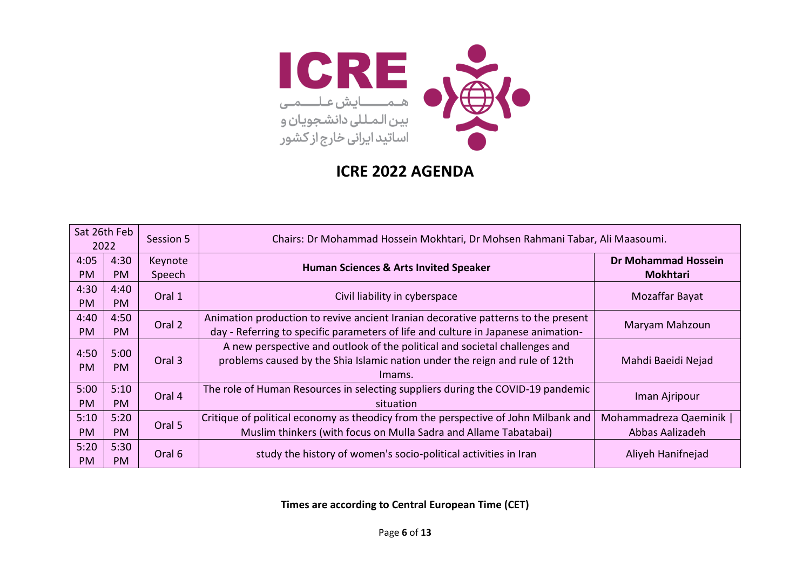

|           | Sat 26th Feb<br>2022 | Session 5         |                                                                                    | Chairs: Dr Mohammad Hossein Mokhtari, Dr Mohsen Rahmani Tabar, Ali Maasoumi. |  |
|-----------|----------------------|-------------------|------------------------------------------------------------------------------------|------------------------------------------------------------------------------|--|
| 4:05      | 4:30                 | Keynote           | <b>Human Sciences &amp; Arts Invited Speaker</b>                                   | <b>Dr Mohammad Hossein</b>                                                   |  |
| <b>PM</b> | <b>PM</b>            | Speech            |                                                                                    | <b>Mokhtari</b>                                                              |  |
| 4:30      | 4:40                 | Oral 1            | Civil liability in cyberspace                                                      | Mozaffar Bayat                                                               |  |
| <b>PM</b> | <b>PM</b>            |                   |                                                                                    |                                                                              |  |
| 4:40      | 4:50                 | Oral 2            | Animation production to revive ancient Iranian decorative patterns to the present  | Maryam Mahzoun                                                               |  |
| <b>PM</b> | <b>PM</b>            |                   | day - Referring to specific parameters of life and culture in Japanese animation-  |                                                                              |  |
| 4:50      | 5:00                 |                   | A new perspective and outlook of the political and societal challenges and         |                                                                              |  |
| <b>PM</b> | <b>PM</b>            | Oral <sub>3</sub> | problems caused by the Shia Islamic nation under the reign and rule of 12th        | Mahdi Baeidi Nejad                                                           |  |
|           |                      |                   | Imams.                                                                             |                                                                              |  |
| 5:00      | 5:10                 | Oral 4            | The role of Human Resources in selecting suppliers during the COVID-19 pandemic    | Iman Ajripour                                                                |  |
| <b>PM</b> | <b>PM</b>            |                   | situation                                                                          |                                                                              |  |
| 5:10      | 5:20                 | Oral 5            | Critique of political economy as theodicy from the perspective of John Milbank and | Mohammadreza Qaeminik                                                        |  |
| <b>PM</b> | PM                   |                   | Muslim thinkers (with focus on Mulla Sadra and Allame Tabatabai)                   | Abbas Aalizadeh                                                              |  |
| 5:20      | 5:30                 | Oral 6            | study the history of women's socio-political activities in Iran                    | Aliyeh Hanifnejad                                                            |  |
| <b>PM</b> | <b>PM</b>            |                   |                                                                                    |                                                                              |  |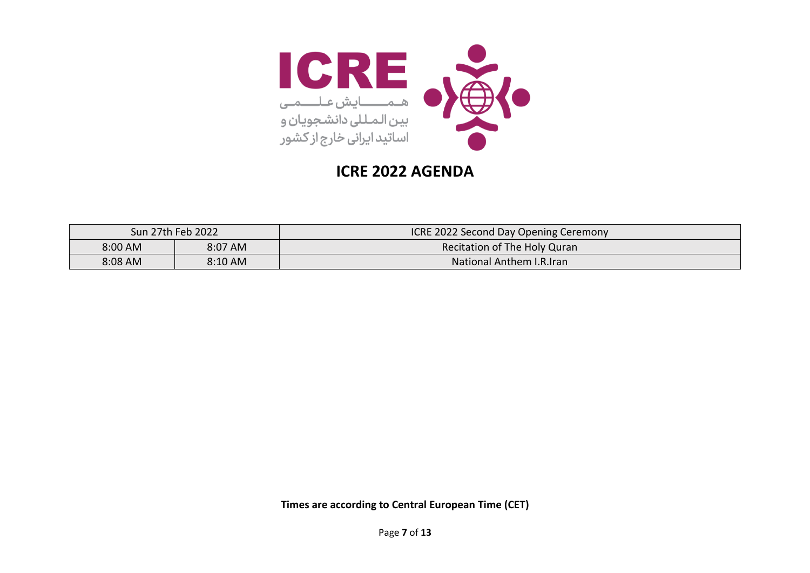

|         | Sun 27th Feb 2022 | <b>ICRE 2022 Second Day Opening Ceremony</b> |
|---------|-------------------|----------------------------------------------|
| 8:00 AM | 8:07 AM           | Recitation of The Holy Quran                 |
| 8:08 AM | 8:10 AM           | <b>National Anthem I.R.Iran</b>              |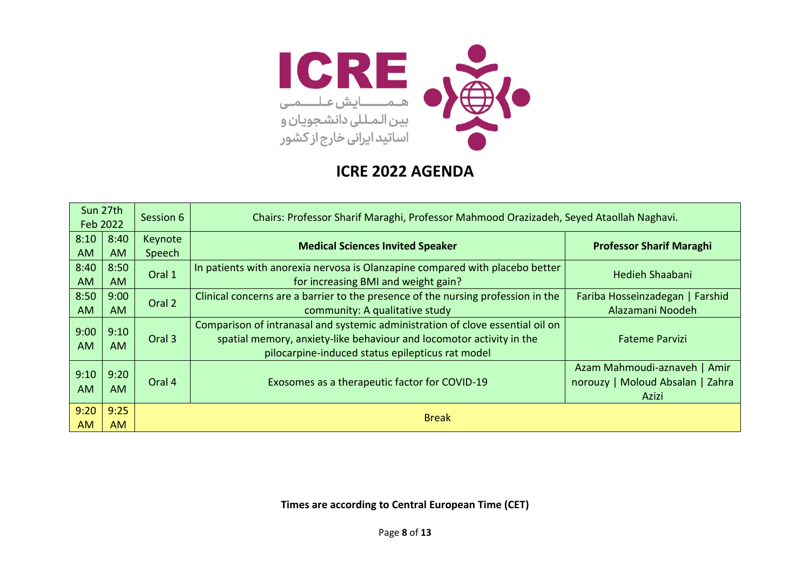

| Sun 27th<br>Session 6<br>Feb 2022 |           |         | Chairs: Professor Sharif Maraghi, Professor Mahmood Orazizadeh, Seyed Ataollah Naghavi. |                                  |  |  |
|-----------------------------------|-----------|---------|-----------------------------------------------------------------------------------------|----------------------------------|--|--|
| 8:10                              | 8:40      | Keynote | <b>Medical Sciences Invited Speaker</b>                                                 | <b>Professor Sharif Maraghi</b>  |  |  |
| <b>AM</b>                         | <b>AM</b> | Speech  |                                                                                         |                                  |  |  |
| 8:40                              | 8:50      | Oral 1  | In patients with anorexia nervosa is Olanzapine compared with placebo better            | Hedieh Shaabani                  |  |  |
| <b>AM</b>                         | AM        |         | for increasing BMI and weight gain?                                                     |                                  |  |  |
| 8:50                              | 9:00      | Oral 2  | Clinical concerns are a barrier to the presence of the nursing profession in the        | Fariba Hosseinzadegan   Farshid  |  |  |
| <b>AM</b>                         | <b>AM</b> |         | community: A qualitative study                                                          | Alazamani Noodeh                 |  |  |
| 9:00                              | 9:10      |         | Comparison of intranasal and systemic administration of clove essential oil on          |                                  |  |  |
| <b>AM</b>                         | AM.       | Oral 3  | spatial memory, anxiety-like behaviour and locomotor activity in the                    | <b>Fateme Parvizi</b>            |  |  |
|                                   |           |         | pilocarpine-induced status epilepticus rat model                                        |                                  |  |  |
| 9:10                              | 9:20      |         |                                                                                         | Azam Mahmoudi-aznaveh   Amir     |  |  |
|                                   |           | Oral 4  | Exosomes as a therapeutic factor for COVID-19                                           | norouzy   Moloud Absalan   Zahra |  |  |
| <b>AM</b>                         | AM.       |         |                                                                                         | Azizi                            |  |  |
| 9:20                              | 9:25      |         |                                                                                         |                                  |  |  |
| <b>AM</b>                         | AM        |         | <b>Break</b>                                                                            |                                  |  |  |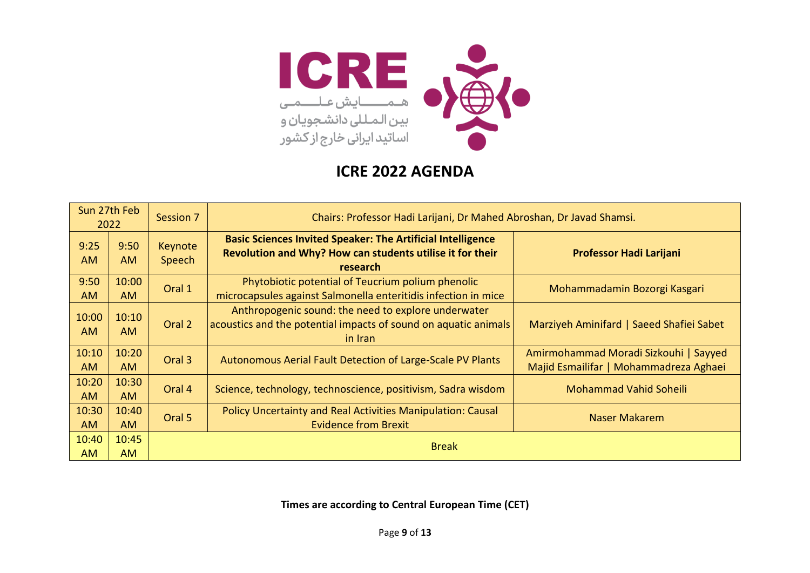

|                    | Sun 27th Feb<br>2022 | Session 7         | Chairs: Professor Hadi Larijani, Dr Mahed Abroshan, Dr Javad Shamsi.                                                                        |                                                                                 |
|--------------------|----------------------|-------------------|---------------------------------------------------------------------------------------------------------------------------------------------|---------------------------------------------------------------------------------|
| 9:25<br><b>AM</b>  | 9:50<br><b>AM</b>    | Keynote<br>Speech | <b>Basic Sciences Invited Speaker: The Artificial Intelligence</b><br>Revolution and Why? How can students utilise it for their<br>research | <b>Professor Hadi Larijani</b>                                                  |
| 9:50<br><b>AM</b>  | 10:00<br><b>AM</b>   | Oral 1            | Phytobiotic potential of Teucrium polium phenolic<br>microcapsules against Salmonella enteritidis infection in mice                         | Mohammadamin Bozorgi Kasgari                                                    |
| 10:00<br>AM.       | 10:10<br>AM.         | Oral 2            | Anthropogenic sound: the need to explore underwater<br>acoustics and the potential impacts of sound on aquatic animals<br>in Iran           | Marziyeh Aminifard   Saeed Shafiei Sabet                                        |
| 10:10<br><b>AM</b> | 10:20<br><b>AM</b>   | Oral 3            | Autonomous Aerial Fault Detection of Large-Scale PV Plants                                                                                  | Amirmohammad Moradi Sizkouhi   Sayyed<br>Majid Esmailifar   Mohammadreza Aghaei |
| 10:20<br><b>AM</b> | 10:30<br><b>AM</b>   | Oral 4            | Science, technology, technoscience, positivism, Sadra wisdom                                                                                | <b>Mohammad Vahid Soheili</b>                                                   |
| 10:30<br><b>AM</b> | 10:40<br><b>AM</b>   | Oral 5            | Policy Uncertainty and Real Activities Manipulation: Causal<br><b>Evidence from Brexit</b>                                                  | <b>Naser Makarem</b>                                                            |
| 10:40<br><b>AM</b> | 10:45<br><b>AM</b>   |                   | <b>Break</b>                                                                                                                                |                                                                                 |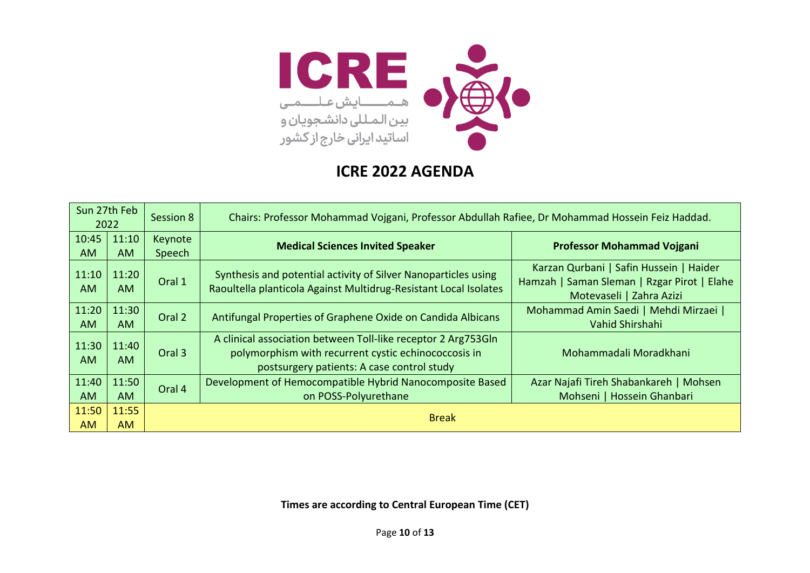

|                    | Sun 27th Feb<br>2022 | Session 8         | Chairs: Professor Mohammad Vojgani, Professor Abdullah Rafiee, Dr Mohammad Hossein Feiz Haddad.                                                                     |                                                                                                                    |
|--------------------|----------------------|-------------------|---------------------------------------------------------------------------------------------------------------------------------------------------------------------|--------------------------------------------------------------------------------------------------------------------|
| 10:45<br><b>AM</b> | 11:10<br><b>AM</b>   | Keynote<br>Speech | <b>Medical Sciences Invited Speaker</b>                                                                                                                             | <b>Professor Mohammad Vojgani</b>                                                                                  |
| 11:10<br><b>AM</b> | 11:20<br>AM.         | Oral 1            | Synthesis and potential activity of Silver Nanoparticles using<br>Raoultella planticola Against Multidrug-Resistant Local Isolates                                  | Karzan Qurbani   Safin Hussein   Haider<br>Hamzah   Saman Sleman   Rzgar Pirot   Elahe<br>Motevaseli   Zahra Azizi |
| 11:20<br><b>AM</b> | 11:30<br>AM.         | Oral 2            | Antifungal Properties of Graphene Oxide on Candida Albicans                                                                                                         | Mohammad Amin Saedi   Mehdi Mirzaei  <br>Vahid Shirshahi                                                           |
| 11:30<br><b>AM</b> | 11:40<br>AM.         | Oral 3            | A clinical association between Toll-like receptor 2 Arg753Gln<br>polymorphism with recurrent cystic echinococcosis in<br>postsurgery patients: A case control study | Mohammadali Moradkhani                                                                                             |
| 11:40<br><b>AM</b> | 11:50<br>AM.         | Oral 4            | Development of Hemocompatible Hybrid Nanocomposite Based<br>on POSS-Polyurethane                                                                                    | Azar Najafi Tireh Shabankareh   Mohsen<br>Mohseni   Hossein Ghanbari                                               |
| 11:50<br><b>AM</b> | 11:55<br><b>AM</b>   |                   | <b>Break</b>                                                                                                                                                        |                                                                                                                    |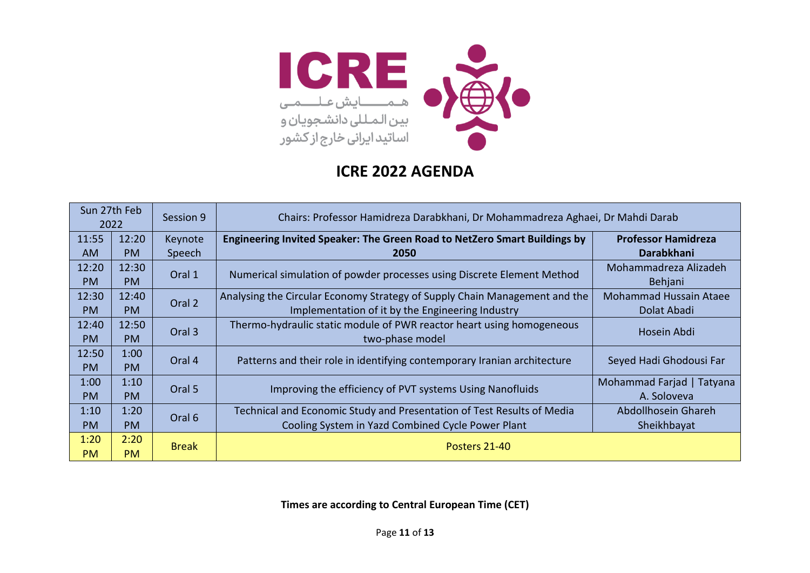

|           | Sun 27th Feb<br>2022 | Session 9    | Chairs: Professor Hamidreza Darabkhani, Dr Mohammadreza Aghaei, Dr Mahdi Darab |                               |  |
|-----------|----------------------|--------------|--------------------------------------------------------------------------------|-------------------------------|--|
| 11:55     | 12:20                | Keynote      | Engineering Invited Speaker: The Green Road to NetZero Smart Buildings by      | <b>Professor Hamidreza</b>    |  |
| <b>AM</b> | <b>PM</b>            | Speech       | 2050                                                                           | <b>Darabkhani</b>             |  |
| 12:20     | 12:30                | Oral 1       |                                                                                | Mohammadreza Alizadeh         |  |
| <b>PM</b> | <b>PM</b>            |              | Numerical simulation of powder processes using Discrete Element Method         | Behjani                       |  |
| 12:30     | 12:40                | Oral 2       | Analysing the Circular Economy Strategy of Supply Chain Management and the     | <b>Mohammad Hussain Ataee</b> |  |
| <b>PM</b> | <b>PM</b>            |              | Implementation of it by the Engineering Industry                               | Dolat Abadi                   |  |
| 12:40     | 12:50                | Oral 3       | Thermo-hydraulic static module of PWR reactor heart using homogeneous          | Hosein Abdi                   |  |
| <b>PM</b> | <b>PM</b>            |              | two-phase model                                                                |                               |  |
| 12:50     | 1:00                 | Oral 4       | Patterns and their role in identifying contemporary Iranian architecture       | Seyed Hadi Ghodousi Far       |  |
| PM.       | <b>PM</b>            |              |                                                                                |                               |  |
| 1:00      | 1:10                 | Oral 5       | Improving the efficiency of PVT systems Using Nanofluids                       | Mohammad Farjad   Tatyana     |  |
| PM        | <b>PM</b>            |              |                                                                                | A. Soloveva                   |  |
| 1:10      | 1:20                 | Oral 6       | Technical and Economic Study and Presentation of Test Results of Media         | Abdollhosein Ghareh           |  |
| <b>PM</b> | <b>PM</b>            |              | Cooling System in Yazd Combined Cycle Power Plant                              | Sheikhbayat                   |  |
| 1:20      | 2:20                 |              | Posters 21-40                                                                  |                               |  |
| <b>PM</b> | <b>PM</b>            | <b>Break</b> |                                                                                |                               |  |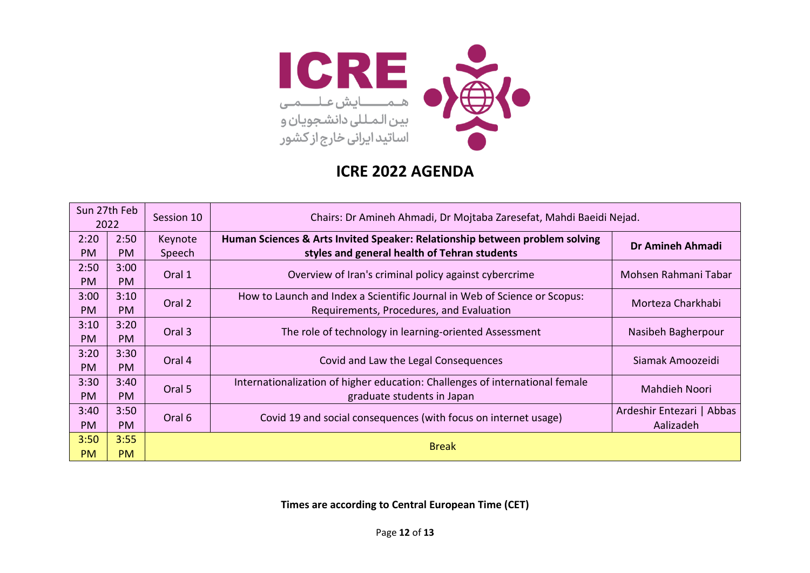

|           | Sun 27th Feb<br>Chairs: Dr Amineh Ahmadi, Dr Mojtaba Zaresefat, Mahdi Baeidi Nejad.<br>Session 10<br>2022 |         |                                                                              |                           |
|-----------|-----------------------------------------------------------------------------------------------------------|---------|------------------------------------------------------------------------------|---------------------------|
| 2:20      | 2:50                                                                                                      | Keynote | Human Sciences & Arts Invited Speaker: Relationship between problem solving  | Dr Amineh Ahmadi          |
| <b>PM</b> | <b>PM</b>                                                                                                 | Speech  | styles and general health of Tehran students                                 |                           |
| 2:50      | 3:00                                                                                                      | Oral 1  | Overview of Iran's criminal policy against cybercrime                        | Mohsen Rahmani Tabar      |
| <b>PM</b> | <b>PM</b>                                                                                                 |         |                                                                              |                           |
| 3:00      | 3:10                                                                                                      | Oral 2  | How to Launch and Index a Scientific Journal in Web of Science or Scopus:    | Morteza Charkhabi         |
| <b>PM</b> | <b>PM</b>                                                                                                 |         | Requirements, Procedures, and Evaluation                                     |                           |
| 3:10      | 3:20                                                                                                      | Oral 3  |                                                                              |                           |
| <b>PM</b> | <b>PM</b>                                                                                                 |         | The role of technology in learning-oriented Assessment                       | Nasibeh Bagherpour        |
| 3:20      | 3:30                                                                                                      | Oral 4  | Covid and Law the Legal Consequences                                         | Siamak Amoozeidi          |
| <b>PM</b> | <b>PM</b>                                                                                                 |         |                                                                              |                           |
| 3:30      | 3:40                                                                                                      | Oral 5  | Internationalization of higher education: Challenges of international female | <b>Mahdieh Noori</b>      |
| <b>PM</b> | <b>PM</b>                                                                                                 |         | graduate students in Japan                                                   |                           |
| 3:40      | 3:50                                                                                                      | Oral 6  | Covid 19 and social consequences (with focus on internet usage)              | Ardeshir Entezari   Abbas |
| PM.       | <b>PM</b>                                                                                                 |         |                                                                              | Aalizadeh                 |
| 3:50      | 3:55                                                                                                      |         |                                                                              |                           |
| <b>PM</b> | <b>PM</b>                                                                                                 |         | <b>Break</b>                                                                 |                           |